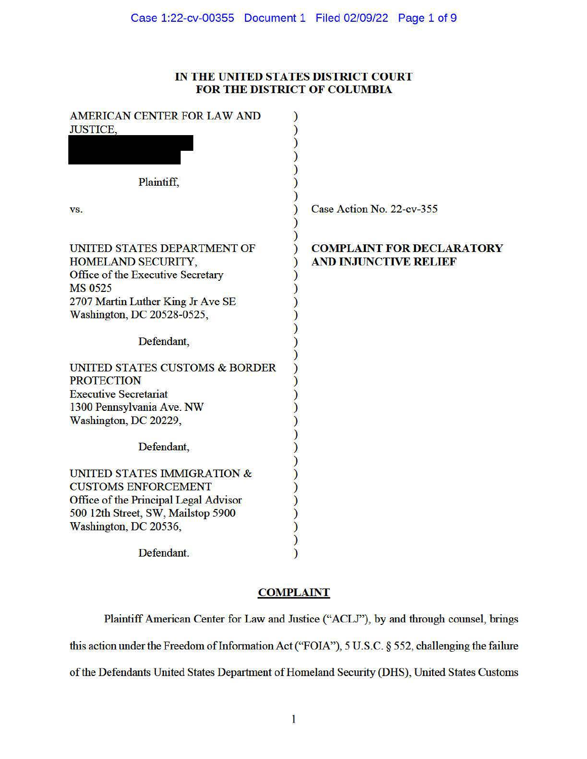# IN **THE UNITED STATES DISTRICT COURT FOR THE DISTRICT OF COLUMBIA**

| AMERICAN CENTER FOR LAW AND<br><b>JUSTICE,</b>                                                                                                                              |                                                                  |
|-----------------------------------------------------------------------------------------------------------------------------------------------------------------------------|------------------------------------------------------------------|
| Plaintiff,                                                                                                                                                                  |                                                                  |
| VS.                                                                                                                                                                         | Case Action No. 22-cv-355                                        |
| UNITED STATES DEPARTMENT OF<br>HOMELAND SECURITY,<br>Office of the Executive Secretary<br><b>MS 0525</b><br>2707 Martin Luther King Jr Ave SE<br>Washington, DC 20528-0525, | <b>COMPLAINT FOR DECLARATORY</b><br><b>AND INJUNCTIVE RELIEF</b> |
| Defendant,                                                                                                                                                                  |                                                                  |
| UNITED STATES CUSTOMS & BORDER<br><b>PROTECTION</b>                                                                                                                         |                                                                  |
| <b>Executive Secretariat</b>                                                                                                                                                |                                                                  |
| 1300 Pennsylvania Ave. NW<br>Washington, DC 20229,                                                                                                                          |                                                                  |
| Defendant,                                                                                                                                                                  |                                                                  |
| UNITED STATES IMMIGRATION &<br><b>CUSTOMS ENFORCEMENT</b>                                                                                                                   |                                                                  |
| Office of the Principal Legal Advisor                                                                                                                                       |                                                                  |
| 500 12th Street, SW, Mailstop 5900                                                                                                                                          |                                                                  |
| Washington, DC 20536,                                                                                                                                                       |                                                                  |
| Defendant.                                                                                                                                                                  |                                                                  |

# **COMPLAINT**

Plaintiff American Center for Law and Justice ("ACLJ"), by and through counsel, brings this action under the Freedom of Information Act ("FOIA"), 5 U.S.C. § 552, challenging the failure of the Defendants United States Department of Homeland Security (DHS), United States Customs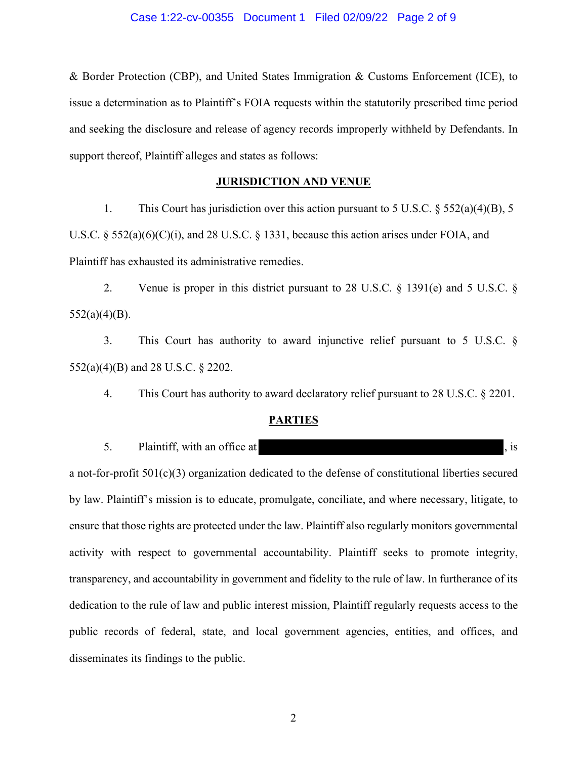& Border Protection (CBP), and United States Immigration & Customs Enforcement (ICE), to issue a determination as to Plaintiff's FOIA requests within the statutorily prescribed time period and seeking the disclosure and release of agency records improperly withheld by Defendants. In support thereof, Plaintiff alleges and states as follows:

## **JURISDICTION AND VENUE**

1. This Court has jurisdiction over this action pursuant to 5 U.S.C. § 552(a)(4)(B), 5 U.S.C.  $\S$  552(a)(6)(C)(i), and 28 U.S.C.  $\S$  1331, because this action arises under FOIA, and Plaintiff has exhausted its administrative remedies.

2. Venue is proper in this district pursuant to 28 U.S.C. § 1391(e) and 5 U.S.C. § 552(a)(4)(B).

3. This Court has authority to award injunctive relief pursuant to 5 U.S.C. § 552(a)(4)(B) and 28 U.S.C. § 2202.

4. This Court has authority to award declaratory relief pursuant to 28 U.S.C. § 2201.

# **PARTIES**

5. Plaintiff, with an office at  $\qquad \qquad$ , is

a not-for-profit 501(c)(3) organization dedicated to the defense of constitutional liberties secured by law. Plaintiff's mission is to educate, promulgate, conciliate, and where necessary, litigate, to ensure that those rights are protected under the law. Plaintiff also regularly monitors governmental activity with respect to governmental accountability. Plaintiff seeks to promote integrity, transparency, and accountability in government and fidelity to the rule of law. In furtherance of its dedication to the rule of law and public interest mission, Plaintiff regularly requests access to the public records of federal, state, and local government agencies, entities, and offices, and disseminates its findings to the public.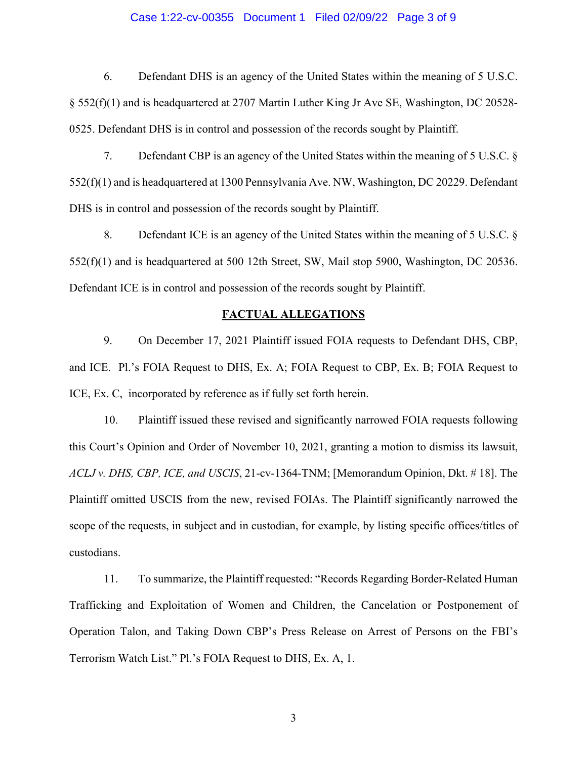### Case 1:22-cv-00355 Document 1 Filed 02/09/22 Page 3 of 9

6. Defendant DHS is an agency of the United States within the meaning of 5 U.S.C. § 552(f)(1) and is headquartered at 2707 Martin Luther King Jr Ave SE, Washington, DC 20528- 0525. Defendant DHS is in control and possession of the records sought by Plaintiff.

7. Defendant CBP is an agency of the United States within the meaning of 5 U.S.C. § 552(f)(1) and is headquartered at 1300 Pennsylvania Ave. NW, Washington, DC 20229. Defendant DHS is in control and possession of the records sought by Plaintiff.

8. Defendant ICE is an agency of the United States within the meaning of 5 U.S.C. § 552(f)(1) and is headquartered at 500 12th Street, SW, Mail stop 5900, Washington, DC 20536. Defendant ICE is in control and possession of the records sought by Plaintiff.

#### **FACTUAL ALLEGATIONS**

9. On December 17, 2021 Plaintiff issued FOIA requests to Defendant DHS, CBP, and ICE. Pl.'s FOIA Request to DHS, Ex. A; FOIA Request to CBP, Ex. B; FOIA Request to ICE, Ex. C, incorporated by reference as if fully set forth herein.

10. Plaintiff issued these revised and significantly narrowed FOIA requests following this Court's Opinion and Order of November 10, 2021, granting a motion to dismiss its lawsuit, *ACLJ v. DHS, CBP, ICE, and USCIS*, 21-cv-1364-TNM; [Memorandum Opinion, Dkt. # 18]. The Plaintiff omitted USCIS from the new, revised FOIAs. The Plaintiff significantly narrowed the scope of the requests, in subject and in custodian, for example, by listing specific offices/titles of custodians.

11. To summarize, the Plaintiff requested: "Records Regarding Border-Related Human Trafficking and Exploitation of Women and Children, the Cancelation or Postponement of Operation Talon, and Taking Down CBP's Press Release on Arrest of Persons on the FBI's Terrorism Watch List." Pl.'s FOIA Request to DHS, Ex. A, 1.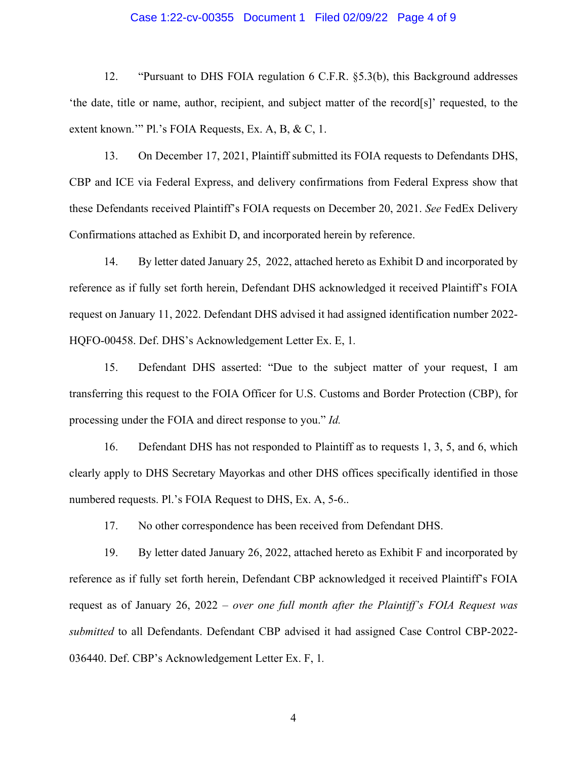### Case 1:22-cv-00355 Document 1 Filed 02/09/22 Page 4 of 9

12. "Pursuant to DHS FOIA regulation 6 C.F.R. §5.3(b), this Background addresses 'the date, title or name, author, recipient, and subject matter of the record[s]' requested, to the extent known.'" Pl.'s FOIA Requests, Ex. A, B, & C, 1.

13. On December 17, 2021, Plaintiff submitted its FOIA requests to Defendants DHS, CBP and ICE via Federal Express, and delivery confirmations from Federal Express show that these Defendants received Plaintiff's FOIA requests on December 20, 2021. *See* FedEx Delivery Confirmations attached as Exhibit D, and incorporated herein by reference.

14. By letter dated January 25, 2022, attached hereto as Exhibit D and incorporated by reference as if fully set forth herein, Defendant DHS acknowledged it received Plaintiff's FOIA request on January 11, 2022. Defendant DHS advised it had assigned identification number 2022- HQFO-00458. Def. DHS's Acknowledgement Letter Ex. E, 1*.*

15. Defendant DHS asserted: "Due to the subject matter of your request, I am transferring this request to the FOIA Officer for U.S. Customs and Border Protection (CBP), for processing under the FOIA and direct response to you." *Id.* 

16. Defendant DHS has not responded to Plaintiff as to requests 1, 3, 5, and 6, which clearly apply to DHS Secretary Mayorkas and other DHS offices specifically identified in those numbered requests. Pl.'s FOIA Request to DHS, Ex. A, 5-6..

17. No other correspondence has been received from Defendant DHS.

19. By letter dated January 26, 2022, attached hereto as Exhibit F and incorporated by reference as if fully set forth herein, Defendant CBP acknowledged it received Plaintiff's FOIA request as of January 26, 2022 – *over one full month after the Plaintiff's FOIA Request was submitted* to all Defendants. Defendant CBP advised it had assigned Case Control CBP-2022- 036440. Def. CBP's Acknowledgement Letter Ex. F, 1*.*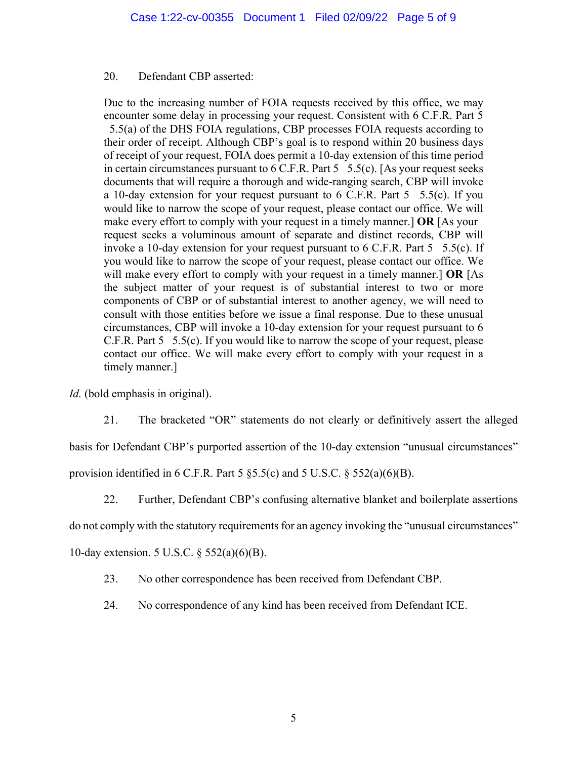### 20. Defendant CBP asserted:

Due to the increasing number of FOIA requests received by this office, we may encounter some delay in processing your request. Consistent with 6 C.F.R. Part 5

 5.5(a) of the DHS FOIA regulations, CBP processes FOIA requests according to their order of receipt. Although CBP's goal is to respond within 20 business days of receipt of your request, FOIA does permit a 10-day extension of this time period in certain circumstances pursuant to  $6$  C.F.R. Part  $5$   $5.5(c)$ . [As your request seeks documents that will require a thorough and wide-ranging search, CBP will invoke a 10-day extension for your request pursuant to  $6$  C.F.R. Part  $5$  5.5(c). If you would like to narrow the scope of your request, please contact our office. We will make every effort to comply with your request in a timely manner.] **OR** [As your request seeks a voluminous amount of separate and distinct records, CBP will invoke a 10-day extension for your request pursuant to 6 C.F.R. Part 5 5.5(c). If you would like to narrow the scope of your request, please contact our office. We will make every effort to comply with your request in a timely manner.] **OR** [As the subject matter of your request is of substantial interest to two or more components of CBP or of substantial interest to another agency, we will need to consult with those entities before we issue a final response. Due to these unusual circumstances, CBP will invoke a 10-day extension for your request pursuant to 6 C.F.R. Part 5 5.5(c). If you would like to narrow the scope of your request, please contact our office. We will make every effort to comply with your request in a timely manner.]

*Id.* (bold emphasis in original).

21. The bracketed "OR" statements do not clearly or definitively assert the alleged basis for Defendant CBP's purported assertion of the 10-day extension "unusual circumstances" provision identified in 6 C.F.R. Part 5  $\S$ 5.5(c) and 5 U.S.C.  $\S$  552(a)(6)(B).

22. Further, Defendant CBP's confusing alternative blanket and boilerplate assertions

do not comply with the statutory requirements for an agency invoking the "unusual circumstances"

10-day extension. 5 U.S.C. § 552(a)(6)(B).

23. No other correspondence has been received from Defendant CBP.

24. No correspondence of any kind has been received from Defendant ICE.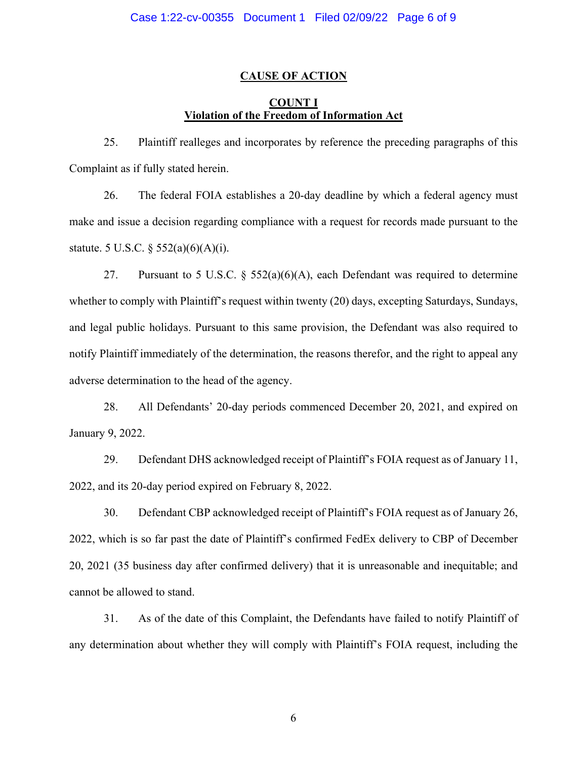### **CAUSE OF ACTION**

# **COUNT I Violation of the Freedom of Information Act**

25. Plaintiff realleges and incorporates by reference the preceding paragraphs of this Complaint as if fully stated herein.

26. The federal FOIA establishes a 20-day deadline by which a federal agency must make and issue a decision regarding compliance with a request for records made pursuant to the statute. 5 U.S.C. § 552(a)(6)(A)(i).

27. Pursuant to 5 U.S.C. § 552(a)(6)(A), each Defendant was required to determine whether to comply with Plaintiff's request within twenty (20) days, excepting Saturdays, Sundays, and legal public holidays. Pursuant to this same provision, the Defendant was also required to notify Plaintiff immediately of the determination, the reasons therefor, and the right to appeal any adverse determination to the head of the agency.

28. All Defendants' 20-day periods commenced December 20, 2021, and expired on January 9, 2022.

29. Defendant DHS acknowledged receipt of Plaintiff's FOIA request as of January 11, 2022, and its 20-day period expired on February 8, 2022.

30. Defendant CBP acknowledged receipt of Plaintiff's FOIA request as of January 26, 2022, which is so far past the date of Plaintiff's confirmed FedEx delivery to CBP of December 20, 2021 (35 business day after confirmed delivery) that it is unreasonable and inequitable; and cannot be allowed to stand.

31. As of the date of this Complaint, the Defendants have failed to notify Plaintiff of any determination about whether they will comply with Plaintiff's FOIA request, including the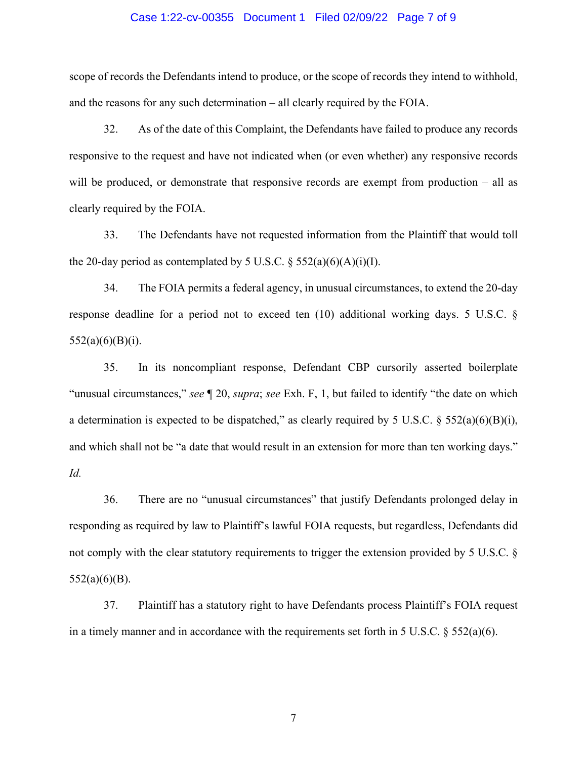#### Case 1:22-cv-00355 Document 1 Filed 02/09/22 Page 7 of 9

scope of records the Defendants intend to produce, or the scope of records they intend to withhold, and the reasons for any such determination – all clearly required by the FOIA.

32. As of the date of this Complaint, the Defendants have failed to produce any records responsive to the request and have not indicated when (or even whether) any responsive records will be produced, or demonstrate that responsive records are exempt from production – all as clearly required by the FOIA.

33. The Defendants have not requested information from the Plaintiff that would toll the 20-day period as contemplated by 5 U.S.C.  $\S$  552(a)(6)(A)(i)(I).

34. The FOIA permits a federal agency, in unusual circumstances, to extend the 20-day response deadline for a period not to exceed ten (10) additional working days. 5 U.S.C. §  $552(a)(6)(B)(i).$ 

35. In its noncompliant response, Defendant CBP cursorily asserted boilerplate "unusual circumstances," *see* ¶ 20, *supra*; *see* Exh. F, 1, but failed to identify "the date on which a determination is expected to be dispatched," as clearly required by 5 U.S.C.  $\S$  552(a)(6)(B)(i), and which shall not be "a date that would result in an extension for more than ten working days." *Id.*

36. There are no "unusual circumstances" that justify Defendants prolonged delay in responding as required by law to Plaintiff's lawful FOIA requests, but regardless, Defendants did not comply with the clear statutory requirements to trigger the extension provided by 5 U.S.C. § 552(a)(6)(B).

37. Plaintiff has a statutory right to have Defendants process Plaintiff's FOIA request in a timely manner and in accordance with the requirements set forth in 5 U.S.C.  $\S$  552(a)(6).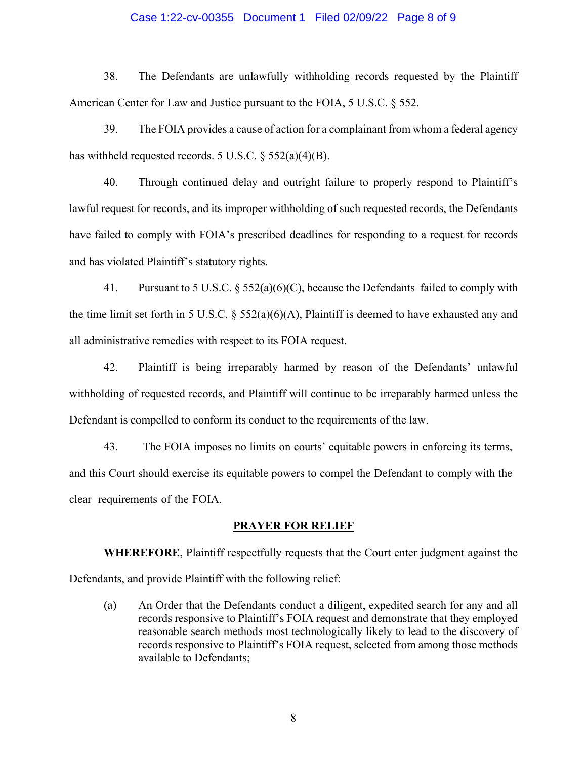### Case 1:22-cv-00355 Document 1 Filed 02/09/22 Page 8 of 9

38. The Defendants are unlawfully withholding records requested by the Plaintiff American Center for Law and Justice pursuant to the FOIA, 5 U.S.C. § 552.

39. The FOIA provides a cause of action for a complainant from whom a federal agency has withheld requested records. 5 U.S.C. § 552(a)(4)(B).

40. Through continued delay and outright failure to properly respond to Plaintiff's lawful request for records, and its improper withholding of such requested records, the Defendants have failed to comply with FOIA's prescribed deadlines for responding to a request for records and has violated Plaintiff's statutory rights.

41. Pursuant to 5 U.S.C. § 552(a)(6)(C), because the Defendants failed to comply with the time limit set forth in 5 U.S.C.  $\S$  552(a)(6)(A), Plaintiff is deemed to have exhausted any and all administrative remedies with respect to its FOIA request.

42. Plaintiff is being irreparably harmed by reason of the Defendants' unlawful withholding of requested records, and Plaintiff will continue to be irreparably harmed unless the Defendant is compelled to conform its conduct to the requirements of the law.

43. The FOIA imposes no limits on courts' equitable powers in enforcing its terms, and this Court should exercise its equitable powers to compel the Defendant to comply with the clear requirements of the FOIA.

#### **PRAYER FOR RELIEF**

**WHEREFORE**, Plaintiff respectfully requests that the Court enter judgment against the Defendants, and provide Plaintiff with the following relief:

(a) An Order that the Defendants conduct a diligent, expedited search for any and all records responsive to Plaintiff's FOIA request and demonstrate that they employed reasonable search methods most technologically likely to lead to the discovery of records responsive to Plaintiff's FOIA request, selected from among those methods available to Defendants;